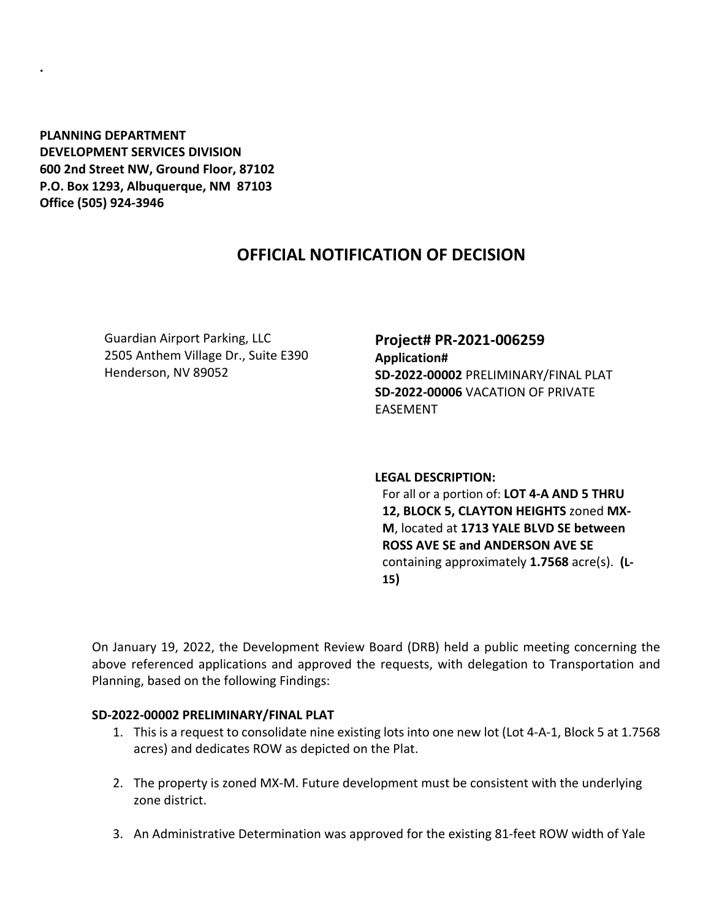**PLANNING DEPARTMENT DEVELOPMENT SERVICES DIVISION 600 2nd Street NW, Ground Floor, 87102 P.O. Box 1293, Albuquerque, NM 87103 Office (505) 924-3946** 

**.**

# **OFFICIAL NOTIFICATION OF DECISION**

Guardian Airport Parking, LLC 2505 Anthem Village Dr., Suite E390 Henderson, NV 89052

## **Project# PR-2021-006259 Application# SD-2022-00002** PRELIMINARY/FINAL PLAT **SD-2022-00006** VACATION OF PRIVATE EASEMENT

### **LEGAL DESCRIPTION:**

For all or a portion of: **LOT 4-A AND 5 THRU 12, BLOCK 5, CLAYTON HEIGHTS** zoned **MX-M**, located at **1713 YALE BLVD SE between ROSS AVE SE and ANDERSON AVE SE**  containing approximately **1.7568** acre(s). **(L-15)**

On January 19, 2022, the Development Review Board (DRB) held a public meeting concerning the above referenced applications and approved the requests, with delegation to Transportation and Planning, based on the following Findings:

### **SD-2022-00002 PRELIMINARY/FINAL PLAT**

- 1. This is a request to consolidate nine existing lots into one new lot (Lot 4-A-1, Block 5 at 1.7568 acres) and dedicates ROW as depicted on the Plat.
- 2. The property is zoned MX-M. Future development must be consistent with the underlying zone district.
- 3. An Administrative Determination was approved for the existing 81-feet ROW width of Yale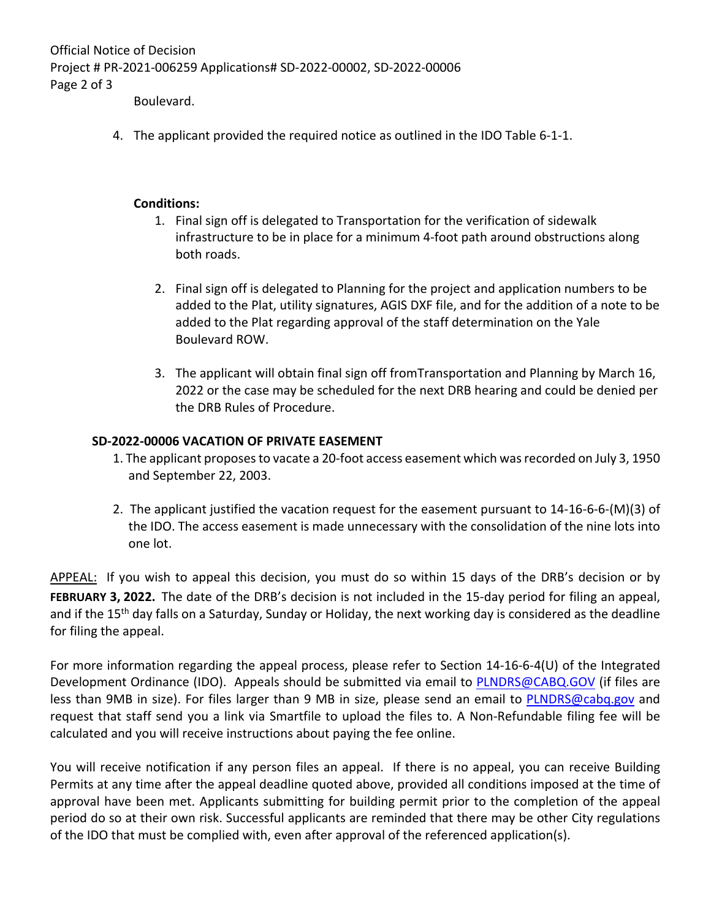Official Notice of Decision Project # PR-2021-006259 Applications# SD-2022-00002, SD-2022-00006 Page 2 of 3

Boulevard.

4. The applicant provided the required notice as outlined in the IDO Table 6-1-1.

### **Conditions:**

- 1. Final sign off is delegated to Transportation for the verification of sidewalk infrastructure to be in place for a minimum 4-foot path around obstructions along both roads.
- 2. Final sign off is delegated to Planning for the project and application numbers to be added to the Plat, utility signatures, AGIS DXF file, and for the addition of a note to be added to the Plat regarding approval of the staff determination on the Yale Boulevard ROW.
- 3. The applicant will obtain final sign off fromTransportation and Planning by March 16, 2022 or the case may be scheduled for the next DRB hearing and could be denied per the DRB Rules of Procedure.

### **SD-2022-00006 VACATION OF PRIVATE EASEMENT**

- 1. The applicant proposes to vacate a 20-foot access easement which was recorded on July 3, 1950 and September 22, 2003.
- 2. The applicant justified the vacation request for the easement pursuant to 14-16-6-6-(M)(3) of the IDO. The access easement is made unnecessary with the consolidation of the nine lots into one lot.

APPEAL: If you wish to appeal this decision, you must do so within 15 days of the DRB's decision or by **FEBRUARY 3, 2022.** The date of the DRB's decision is not included in the 15-day period for filing an appeal, and if the 15<sup>th</sup> day falls on a Saturday, Sunday or Holiday, the next working day is considered as the deadline for filing the appeal.

For more information regarding the appeal process, please refer to Section 14-16-6-4(U) of the Integrated Development Ordinance (IDO). Appeals should be submitted via email to **PLNDRS@CABQ.GOV** (if files are less than 9MB in size). For files larger than 9 MB in size, please send an email to **PLNDRS@cabq.gov** and request that staff send you a link via Smartfile to upload the files to. A Non-Refundable filing fee will be calculated and you will receive instructions about paying the fee online.

You will receive notification if any person files an appeal. If there is no appeal, you can receive Building Permits at any time after the appeal deadline quoted above, provided all conditions imposed at the time of approval have been met. Applicants submitting for building permit prior to the completion of the appeal period do so at their own risk. Successful applicants are reminded that there may be other City regulations of the IDO that must be complied with, even after approval of the referenced application(s).